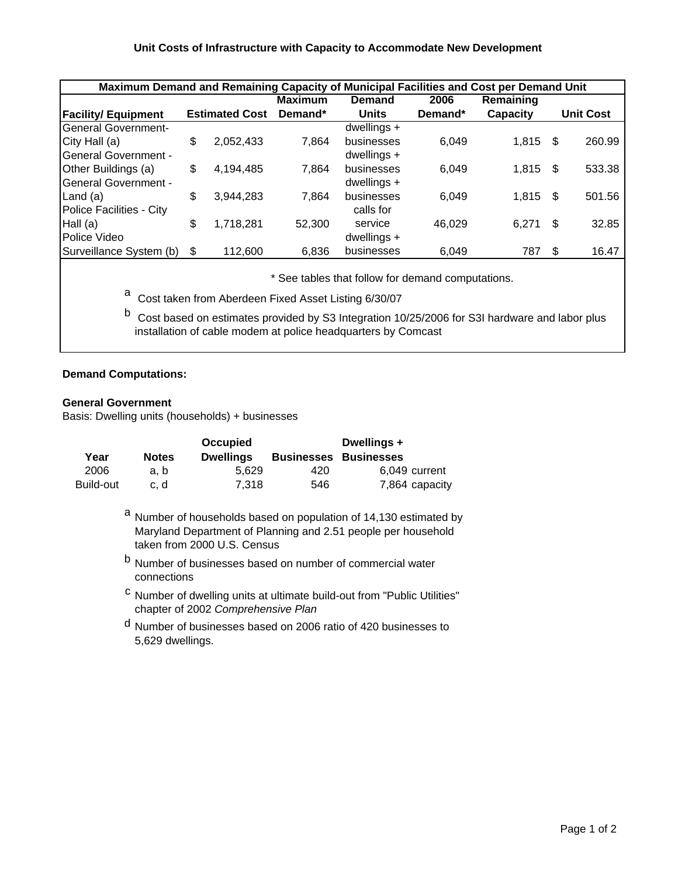## **Unit Costs of Infrastructure with Capacity to Accommodate New Development**

| Maximum Demand and Remaining Capacity of Municipal Facilities and Cost per Demand Unit |                                               |           |         |               |         |          |     |                  |  |  |  |  |  |  |  |
|----------------------------------------------------------------------------------------|-----------------------------------------------|-----------|---------|---------------|---------|----------|-----|------------------|--|--|--|--|--|--|--|
|                                                                                        | Remaining<br><b>Maximum</b><br>2006<br>Demand |           |         |               |         |          |     |                  |  |  |  |  |  |  |  |
| <b>Facility/ Equipment</b>                                                             | <b>Estimated Cost</b>                         |           | Demand* | <b>Units</b>  | Demand* | Capacity |     | <b>Unit Cost</b> |  |  |  |  |  |  |  |
| <b>General Government-</b>                                                             |                                               |           |         | dwellings $+$ |         |          |     |                  |  |  |  |  |  |  |  |
| City Hall (a)                                                                          | \$                                            | 2,052,433 | 7,864   | businesses    | 6,049   | 1,815    | \$. | 260.99           |  |  |  |  |  |  |  |
| <b>General Government -</b>                                                            |                                               |           |         | dwellings $+$ |         |          |     |                  |  |  |  |  |  |  |  |
| Other Buildings (a)                                                                    | \$                                            | 4,194,485 | 7,864   | businesses    | 6,049   | 1,815    | -\$ | 533.38           |  |  |  |  |  |  |  |
| <b>General Government -</b>                                                            |                                               |           |         | dwellings $+$ |         |          |     |                  |  |  |  |  |  |  |  |
| Land $(a)$                                                                             | \$                                            | 3,944,283 | 7.864   | businesses    | 6.049   | 1,815    | -S  | 501.56           |  |  |  |  |  |  |  |
| Police Facilities - City                                                               |                                               |           |         | calls for     |         |          |     |                  |  |  |  |  |  |  |  |
| Hall $(a)$                                                                             | \$                                            | 1,718,281 | 52,300  | service       | 46,029  | 6.271    | S   | 32.85            |  |  |  |  |  |  |  |
| Police Video                                                                           |                                               |           |         | dwellings $+$ |         |          |     |                  |  |  |  |  |  |  |  |
| Surveillance System (b)                                                                |                                               | 112,600   | 6,836   | businesses    | 6,049   | 787      | \$. | 16.47            |  |  |  |  |  |  |  |

\* See tables that follow for demand computations.

- a Cost taken from Aberdeen Fixed Asset Listing 6/30/07
- b Cost based on estimates provided by S3 Integration 10/25/2006 for S3I hardware and labor plus installation of cable modem at police headquarters by Comcast

## **Demand Computations:**

## **General Government**

Basis: Dwelling units (households) + businesses

|           |              | <b>Occupied</b>  |     | Dwellings +                  |
|-----------|--------------|------------------|-----|------------------------------|
| Year      | <b>Notes</b> | <b>Dwellings</b> |     | <b>Businesses Businesses</b> |
| 2006      | a. b         | 5.629            | 420 | 6.049 current                |
| Build-out | c. d         | 7.318            | 546 | 7,864 capacity               |

<sup>a</sup> Number of households based on population of 14,130 estimated by Maryland Department of Planning and 2.51 people per household taken from 2000 U.S. Census

- b Number of businesses based on number of commercial water connections
- c Number of dwelling units at ultimate build-out from "Public Utilities" chapter of 2002 *Comprehensive Plan*
- d Number of businesses based on 2006 ratio of 420 businesses to 5,629 dwellings.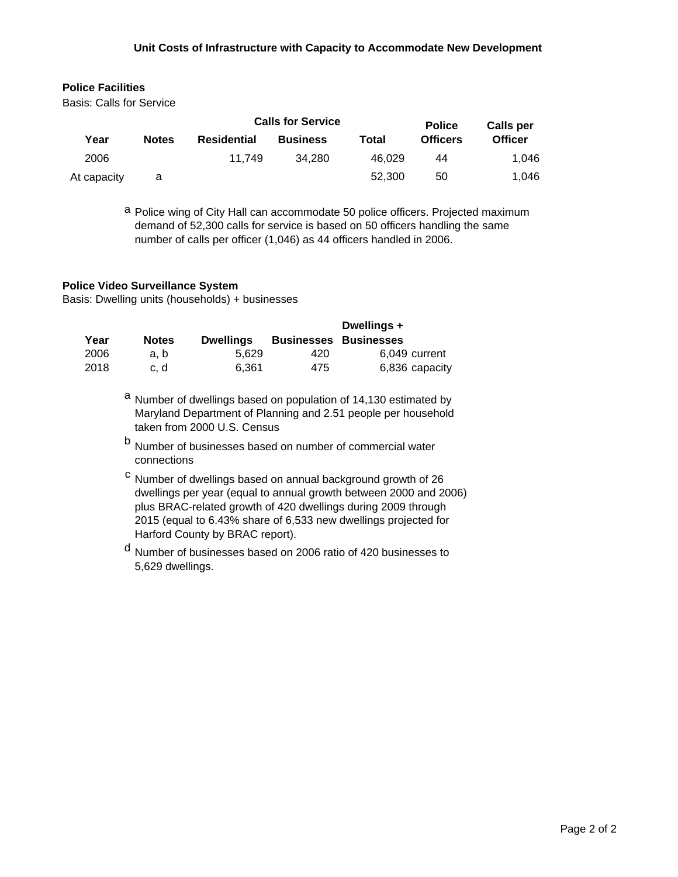## **Unit Costs of Infrastructure with Capacity to Accommodate New Development**

# **Police Facilities**

Basis: Calls for Service

|             |              |             | <b>Calls for Service</b> | <b>Police</b> | <b>Calls per</b> |                |
|-------------|--------------|-------------|--------------------------|---------------|------------------|----------------|
| Year        | <b>Notes</b> | Residential | <b>Business</b>          | Total         | <b>Officers</b>  | <b>Officer</b> |
| 2006        |              | 11.749      | 34.280                   | 46.029        | 44               | 1.046          |
| At capacity | a            |             |                          | 52.300        | 50               | 1.046          |

a Police wing of City Hall can accommodate 50 police officers. Projected maximum demand of 52,300 calls for service is based on 50 officers handling the same number of calls per officer (1,046) as 44 officers handled in 2006.

## **Police Video Surveillance System**

Basis: Dwelling units (households) + businesses

|      |              |                  |     | Dwellings +                  |
|------|--------------|------------------|-----|------------------------------|
| Year | <b>Notes</b> | <b>Dwellings</b> |     | <b>Businesses Businesses</b> |
| 2006 | a.b          | 5.629            | 420 | 6.049 current                |
| 2018 | c. d         | 6.361            | 475 | 6,836 capacity               |

- a Number of dwellings based on population of 14,130 estimated by Maryland Department of Planning and 2.51 people per household taken from 2000 U.S. Census
- <sup>b</sup> Number of businesses based on number of commercial water connections
- <sup>c</sup> Number of dwellings based on annual background growth of 26 dwellings per year (equal to annual growth between 2000 and 2006) plus BRAC-related growth of 420 dwellings during 2009 through 2015 (equal to 6.43% share of 6,533 new dwellings projected for Harford County by BRAC report).
- d Number of businesses based on 2006 ratio of 420 businesses to 5,629 dwellings.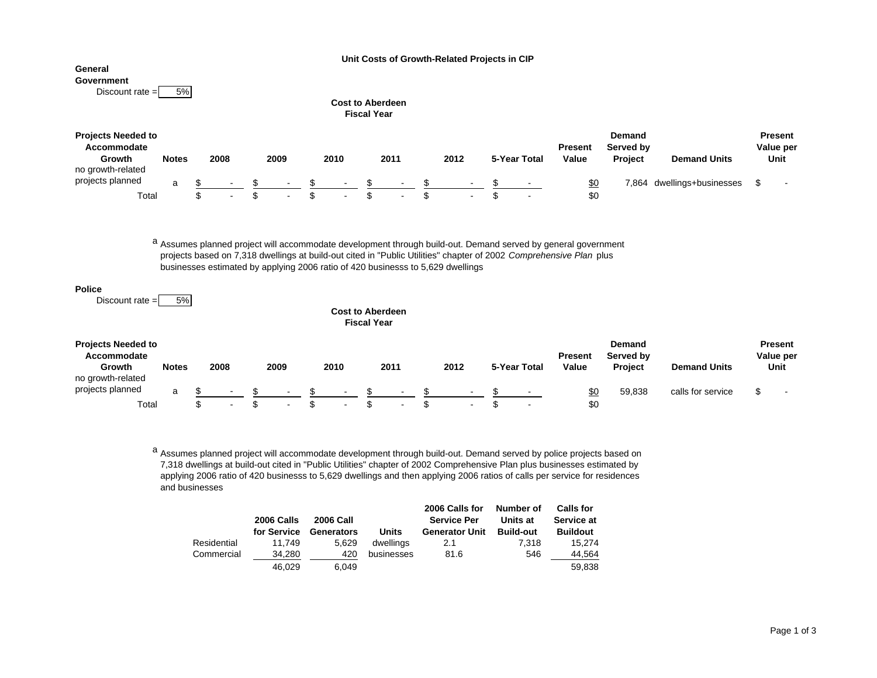**Unit Costs of Growth-Related Projects in CIP**

# **General**

**Government** Discount rate  $= 5\%$ 

|                                                                         | <b>Fiscal Year</b> |  |        |  |                          |      |            |              |        |  |  |        |  |              |                                                                  |       |                      |                              |  |
|-------------------------------------------------------------------------|--------------------|--|--------|--|--------------------------|------|------------|--------------|--------|--|--|--------|--|--------------|------------------------------------------------------------------|-------|----------------------|------------------------------|--|
| <b>Projects Needed to</b><br>Accommodate<br>Growth<br>no growth-related | <b>Notes</b>       |  | 2008   |  | 2009                     |      | 2010       | 2011<br>2012 |        |  |  |        |  | 5-Year Total | <b>Demand</b><br>Served by<br><b>Present</b><br>Value<br>Project |       | <b>Demand Units</b>  | Present<br>Value per<br>Unit |  |
| projects planned                                                        | a                  |  | $\sim$ |  | $\sim 10^{-1}$           | - \$ | $\sim 100$ |              | $\sim$ |  |  | $\sim$ |  | $\sim$       | \$0                                                              | 7,864 | dwellings+businesses | $\sim$                       |  |
| Total                                                                   |                    |  | $\sim$ |  | <b>Contract Contract</b> |      | $\sim$     |              | $\sim$ |  |  | $\sim$ |  | $\sim$       | \$0                                                              |       |                      |                              |  |

<sup>a</sup> Assumes planned project will accommodate development through build-out. Demand served by general government projects based on 7,318 dwellings at build-out cited in "Public Utilities" chapter of 2002 *Comprehensive Plan* plus businesses estimated by applying 2006 ratio of 420 businesss to 5,629 dwellings

### **Police**

Discount rate  $=$  5%

### **Cost to AberdeenFiscal Year**

**Cost to Aberdeen**

| <b>Projects Needed to</b><br>Accommodate<br>Growth<br>no growth-related | <b>Notes</b> | 2008                     | 2009 |                          | 2010 |        | 2011 |        | 2012 |        | 5-Year Total |        | <b>Present</b><br>Value | Demand<br>Served by<br><b>Project</b> | <b>Demand Units</b> | Present<br>Value per<br>Unit |  |
|-------------------------------------------------------------------------|--------------|--------------------------|------|--------------------------|------|--------|------|--------|------|--------|--------------|--------|-------------------------|---------------------------------------|---------------------|------------------------------|--|
| projects planned                                                        | a            | $\overline{\phantom{a}}$ |      | $\overline{\phantom{a}}$ |      | $\sim$ |      | $\sim$ |      | $\sim$ |              | $\sim$ | <u>\$0</u>              | 59.838                                | calls for service   | $\overline{\phantom{a}}$     |  |
| Total                                                                   |              | $\overline{\phantom{a}}$ |      | $\sim$                   |      |        |      | $\sim$ |      | $\sim$ |              | $\sim$ | \$0                     |                                       |                     |                              |  |

<sup>a</sup> Assumes planned project will accommodate development through build-out. Demand served by police projects based on 7,318 dwellings at build-out cited in "Public Utilities" chapter of 2002 Comprehensive Plan plus businesses estimated by applying 2006 ratio of 420 businesss to 5,629 dwellings and then applying 2006 ratios of calls per service for residences and businesses

|             | 2006 Calls<br>for Service | <b>2006 Call</b><br>Generators | <b>Units</b> | 2006 Calls for<br><b>Service Per</b><br><b>Generator Unit</b> | Number of<br>Units at<br><b>Build-out</b> | <b>Calls for</b><br>Service at<br><b>Buildout</b> |
|-------------|---------------------------|--------------------------------|--------------|---------------------------------------------------------------|-------------------------------------------|---------------------------------------------------|
| Residential | 11.749                    | 5.629                          | dwellings    | 2.1                                                           | 7.318                                     | 15.274                                            |
| Commercial  | 34.280                    | 420                            | businesses   | 81.6                                                          | 546                                       | 44.564                                            |
|             | 46.029                    | 6.049                          |              |                                                               |                                           | 59.838                                            |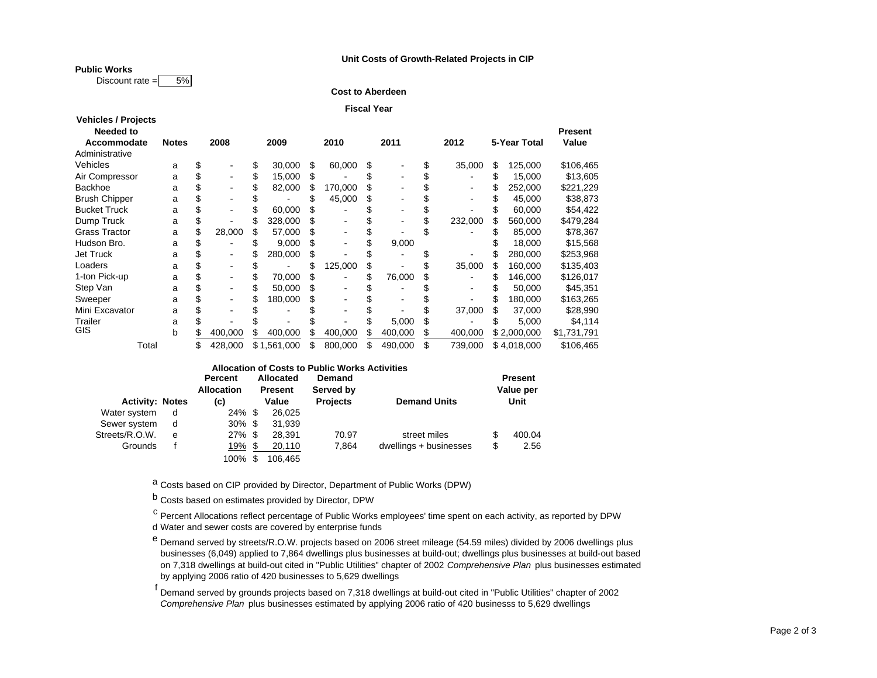### **Unit Costs of Growth-Related Projects in CIP**

**Public Works**

Discount rate  $= 5\%$ 

**Cost to Aberdeen**

| <b>Fiscal Year</b> |  |
|--------------------|--|
|--------------------|--|

| <b>Vehicles / Projects</b> |              |                              |  |             |      |         |         |               |               |                |
|----------------------------|--------------|------------------------------|--|-------------|------|---------|---------|---------------|---------------|----------------|
| <b>Needed to</b>           |              |                              |  |             |      |         |         |               |               | <b>Present</b> |
| Accommodate                | <b>Notes</b> | 2008<br>2009                 |  |             | 2010 | 2011    | 2012    | 5-Year Total  | Value         |                |
| Administrative             |              |                              |  |             |      |         |         |               |               |                |
| Vehicles                   | a            | \$                           |  | 30,000      | \$   | 60,000  | \$      | 35,000        | \$<br>125,000 | \$106,465      |
| Air Compressor             | a            |                              |  | 15,000      | S    |         |         |               | 15,000        | \$13,605       |
| Backhoe                    | a            | $\qquad \qquad \blacksquare$ |  | 82,000      |      | 170,000 |         |               | 252,000       | \$221,229      |
| <b>Brush Chipper</b>       | a            | $\qquad \qquad \blacksquare$ |  |             |      | 45,000  | \$      |               | 45,000        | \$38,873       |
| <b>Bucket Truck</b>        | a            |                              |  | 60.000      |      |         |         |               | 60,000        | \$54,422       |
| Dump Truck                 | a            |                              |  | 328,000     | S    | ۰       |         | 232,000       | 560,000       | \$479,284      |
| <b>Grass Tractor</b>       | a            | 28,000                       |  | 57,000      |      |         |         |               | 85,000        | \$78,367       |
| Hudson Bro.                | a            | $\overline{\phantom{0}}$     |  | 9,000       | \$   | ۰       | 9,000   |               | 18,000        | \$15,568       |
| Jet Truck                  | a            | -                            |  | 280,000     | S    |         |         |               | 280,000       | \$253,968      |
| Loaders                    | a            |                              |  |             |      | 125,000 | \$      | 35,000        | 160,000       | \$135,403      |
| 1-ton Pick-up              | a            | $\qquad \qquad \blacksquare$ |  | 70.000      |      | -       | 76,000  |               | 146.000       | \$126,017      |
| Step Van                   | a            | ٠                            |  | 50.000      |      | ۰       |         |               | 50,000        | \$45,351       |
| Sweeper                    | a            | ٠                            |  | 180.000     | S    |         |         |               | 180,000       | \$163,265      |
| Mini Excavator             | a            |                              |  |             |      |         |         | 37,000        | 37,000        | \$28,990       |
| Trailer                    | a            |                              |  |             |      |         | 5.000   |               | 5,000         | \$4,114        |
| GIS                        | b            | 400,000                      |  | 400,000     |      | 400,000 | 400,000 | 400,000       | \$2,000,000   | \$1,731,791    |
| Total                      |              | 428.000                      |  | \$1,561,000 | \$   | 800.000 | 490,000 | \$<br>739,000 | \$4,018,000   | \$106,465      |

| <b>Allocation of Costs to Public Works Activities</b> |   |                   |    |                |                 |                        |      |                |  |  |  |  |  |
|-------------------------------------------------------|---|-------------------|----|----------------|-----------------|------------------------|------|----------------|--|--|--|--|--|
|                                                       |   | <b>Percent</b>    |    | Allocated      | Demand          |                        |      | <b>Present</b> |  |  |  |  |  |
|                                                       |   | <b>Allocation</b> |    | <b>Present</b> | Served by       |                        |      | Value per      |  |  |  |  |  |
| <b>Activity: Notes</b>                                |   | (c)               |    | Value          | <b>Projects</b> | <b>Demand Units</b>    | Unit |                |  |  |  |  |  |
| Water system                                          | d | $24\%$ \$         |    | 26.025         |                 |                        |      |                |  |  |  |  |  |
| Sewer system                                          | d | $30\%$ \$         |    | 31.939         |                 |                        |      |                |  |  |  |  |  |
| Streets/R.O.W.                                        | e | $27\%$ \$         |    | 28.391         | 70.97           | street miles           | \$   | 400.04         |  |  |  |  |  |
| Grounds                                               |   | 19%               | \$ | 20,110         | 7.864           | dwellings + businesses | \$   | 2.56           |  |  |  |  |  |
|                                                       |   | 100%              | \$ | 106.465        |                 |                        |      |                |  |  |  |  |  |

<sup>a</sup> Costs based on CIP provided by Director, Department of Public Works (DPW)

<sup>b</sup> Costs based on estimates provided by Director, DPW

<sup>C</sup> Percent Allocations reflect percentage of Public Works employees' time spent on each activity, as reported by DPW d Water and sewer costs are covered by enterprise funds

<sup>e</sup> Demand served by streets/R.O.W. projects based on 2006 street mileage (54.59 miles) divided by 2006 dwellings plus businesses (6,049) applied to 7,864 dwellings plus businesses at build-out; dwellings plus businesses at build-out based on 7,318 dwellings at build-out cited in "Public Utilities" chapter of 2002 *Comprehensive Plan* plus businesses estimated by applying 2006 ratio of 420 businesses to 5,629 dwellings

f Demand served by grounds projects based on 7,318 dwellings at build-out cited in "Public Utilities" chapter of 2002 *Comprehensive Plan* plus businesses estimated by applying 2006 ratio of 420 businesss to 5,629 dwellings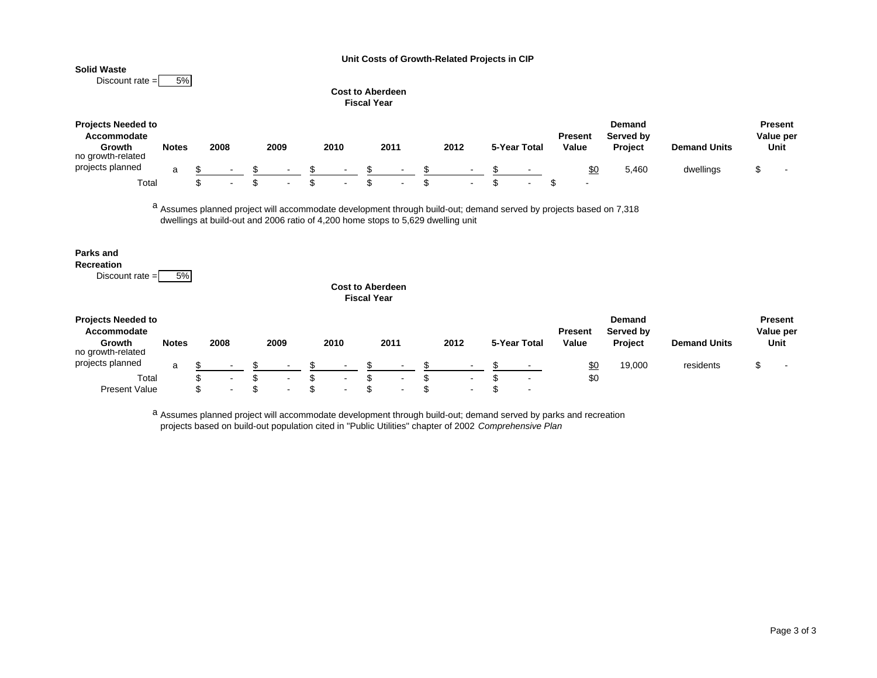**Unit Costs of Growth-Related Projects in CIP**

### **Solid Waste**



## **Cost to Aberdeen**

| <b>Projects Needed to</b><br><b>Accommodate</b><br>Growth<br>no growth-related | <b>Notes</b> | 2008      | 2009                     |      | 2010   | 2011          | 2012 |        | 5-Year Total | Present<br>Value | Demand<br>Served by<br><b>Project</b> | <b>Demand Units</b> | <b>Present</b><br>Value per<br>Unit |
|--------------------------------------------------------------------------------|--------------|-----------|--------------------------|------|--------|---------------|------|--------|--------------|------------------|---------------------------------------|---------------------|-------------------------------------|
| projects planned                                                               | a            |           | $\sim$                   |      | $\sim$ | $\sim$        |      | $\sim$ | $\sim$       | \$C              | 5.460                                 | dwellings           | $\sim$                              |
| <b>Total</b>                                                                   |              | $\,$ $\,$ | $\overline{\phantom{a}}$ | - AD | $\sim$ | <u>. на с</u> |      | $\sim$ |              | $\blacksquare$   |                                       |                     |                                     |

<sup>a</sup> Assumes planned project will accommodate development through build-out; demand served by projects based on 7,318 dwellings at build-out and 2006 ratio of 4,200 home stops to 5,629 dwelling unit

## **Parks and**

**Recreation**Discount rate  $= 5\%$ 

| <b>Cost to Aberdeen</b> |  |
|-------------------------|--|
| Fiscal Year             |  |

| <b>Projects Needed to</b><br>Accommodate<br>Growth<br>no growth-related | <b>Notes</b> | 2008                     | 2009                     | 2010   | 2011                     | 2012 | 5-Year Total | <b>Present</b><br>Value | Demand<br>Served by<br>Project | <b>Demand Units</b> | <b>Present</b><br>Value per<br>Unit |
|-------------------------------------------------------------------------|--------------|--------------------------|--------------------------|--------|--------------------------|------|--------------|-------------------------|--------------------------------|---------------------|-------------------------------------|
| projects planned                                                        | a            |                          | $\sim$                   |        | -                        | . .  |              | <u>\$0</u>              | 19,000                         | residents           |                                     |
| Total                                                                   |              | $\overline{\phantom{a}}$ |                          | $\sim$ | $\overline{\phantom{a}}$ |      | -            | \$0                     |                                |                     |                                     |
| <b>Present Value</b>                                                    |              |                          | $\overline{\phantom{a}}$ | $\sim$ | -                        |      |              |                         |                                |                     |                                     |

a Assumes planned project will accommodate development through build-out; demand served by parks and recreation projects based on build-out population cited in "Public Utilities" chapter of 2002 *Comprehensive Plan*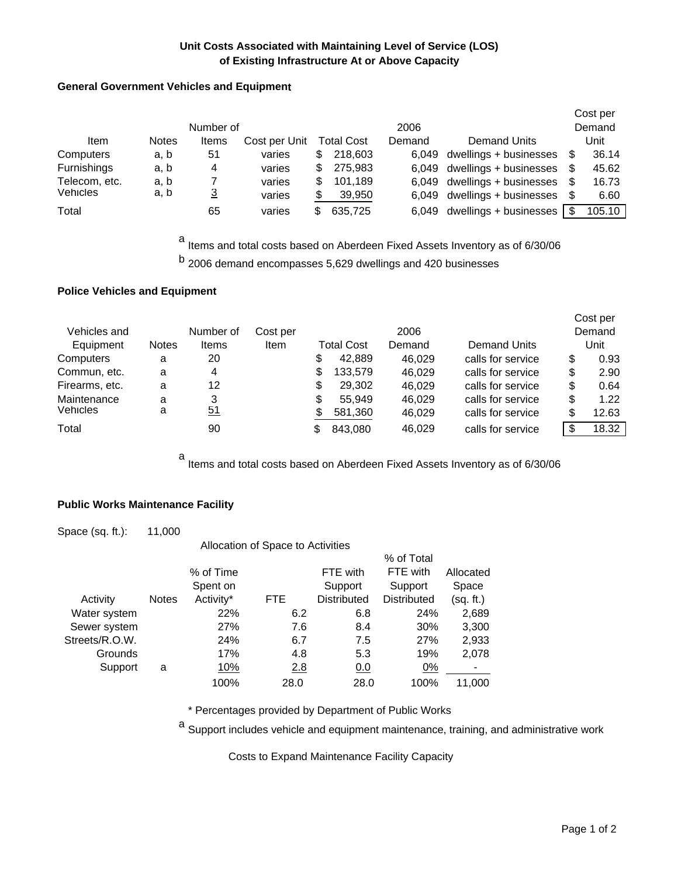# **Unit Costs Associated with Maintaining Level of Service (LOS) of Existing Infrastructure At or Above Capacity**

# **General Government Vehicles and Equipment**

|                    |              |           |               |    |            |        |                              |      | Cost per |
|--------------------|--------------|-----------|---------------|----|------------|--------|------------------------------|------|----------|
|                    |              | Number of |               |    |            | 2006   |                              |      | Demand   |
| Item               | <b>Notes</b> | Items     | Cost per Unit |    | Total Cost | Demand | <b>Demand Units</b>          |      | Unit     |
| Computers          | a, b         | 51        | varies        | S  | 218,603    | 6.049  | dwellings + businesses       |      | 36.14    |
| <b>Furnishings</b> | a, b         | 4         | varies        | \$ | 275.983    | 6.049  | dwellings + businesses       |      | 45.62    |
| Telecom, etc.      | a, b         |           | varies        | S  | 101.189    |        | 6,049 dwellings + businesses |      | 16.73    |
| <b>Vehicles</b>    | a, b         | <u>3</u>  | varies        | \$ | 39,950     |        | 6,049 dwellings + businesses | - \$ | 6.60     |
| Total              |              | 65        | varies        | S  | 635,725    | 6.049  | dwellings + businesses       |      | 105.10   |

<sup>a</sup> Items and total costs based on Aberdeen Fixed Assets Inventory as of 6/30/06

b 2006 demand encompasses 5,629 dwellings and 420 businesses

## **Police Vehicles and Equipment**

|                 |              |           |             |    |                   |        |                     | Cost per    |
|-----------------|--------------|-----------|-------------|----|-------------------|--------|---------------------|-------------|
| Vehicles and    |              | Number of | Cost per    |    |                   | 2006   |                     | Demand      |
| Equipment       | <b>Notes</b> | Items     | <b>Item</b> |    | <b>Total Cost</b> | Demand | <b>Demand Units</b> | Unit        |
| Computers       | a            | 20        |             | \$ | 42,889            | 46.029 | calls for service   | \$<br>0.93  |
| Commun, etc.    | a            | 4         |             | \$ | 133,579           | 46.029 | calls for service   | \$<br>2.90  |
| Firearms, etc.  | a            | 12        |             | \$ | 29.302            | 46.029 | calls for service   | \$<br>0.64  |
| Maintenance     | a            | 3         |             | \$ | 55.949            | 46.029 | calls for service   | \$<br>1.22  |
| <b>Vehicles</b> | a            | 51        |             | S  | 581,360           | 46,029 | calls for service   | \$<br>12.63 |
| Total           |              | 90        |             | S  | 843,080           | 46,029 | calls for service   | \$<br>18.32 |

<sup>a</sup> Items and total costs based on Aberdeen Fixed Assets Inventory as of 6/30/06

## **Public Works Maintenance Facility**

| Space (sq. ft.): | 11,000       |           |                                   |                    |                    |           |
|------------------|--------------|-----------|-----------------------------------|--------------------|--------------------|-----------|
|                  |              |           | Allocation of Space to Activities |                    |                    |           |
|                  |              |           |                                   |                    | % of Total         |           |
|                  |              | % of Time |                                   | FTE with           | FTE with           | Allocated |
|                  |              | Spent on  |                                   | Support            | Support            | Space     |
| Activity         | <b>Notes</b> | Activity* | FTE.                              | <b>Distributed</b> | <b>Distributed</b> | (sq. ft.) |
| Water system     |              | 22%       | 6.2                               | 6.8                | 24%                | 2,689     |
| Sewer system     |              | 27%       | 7.6                               | 8.4                | 30%                | 3,300     |
| Streets/R.O.W.   |              | 24%       | 6.7                               | 7.5                | 27%                | 2,933     |
| Grounds          |              | 17%       | 4.8                               | 5.3                | 19%                | 2,078     |
| Support          | a            | 10%       | 2.8                               | 0.0                | 0%                 |           |
|                  |              | 100%      | 28.0                              | 28.0               | 100%               | 11.000    |

\* Percentages provided by Department of Public Works

a Support includes vehicle and equipment maintenance, training, and administrative work

Costs to Expand Maintenance Facility Capacity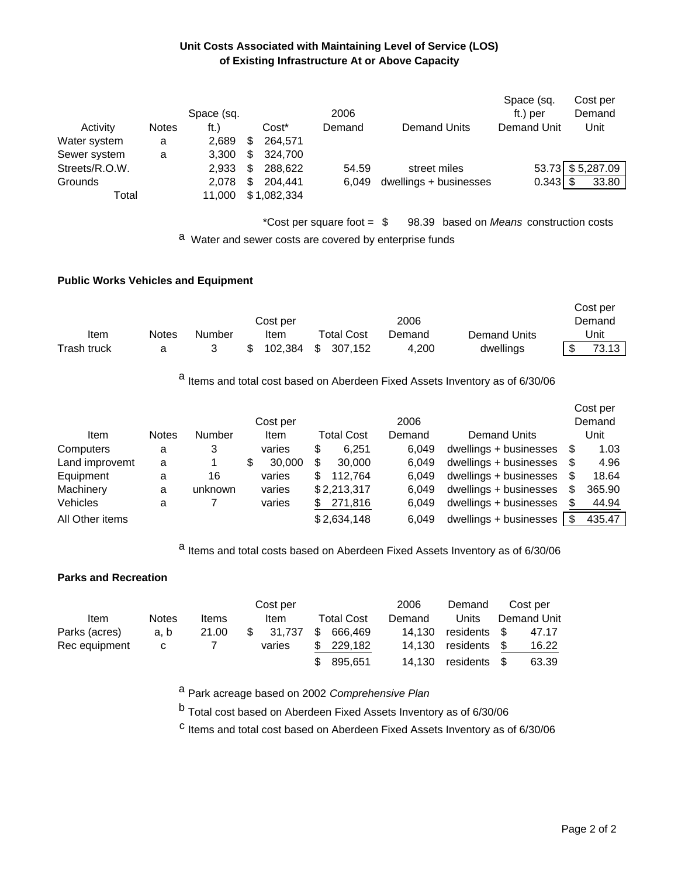# **Unit Costs Associated with Maintaining Level of Service (LOS) of Existing Infrastructure At or Above Capacity**

|                |              | Space (sq. |    |             | 2006                         |                        | Space (sq.<br>ft.) per            | Cost per<br>Demand |
|----------------|--------------|------------|----|-------------|------------------------------|------------------------|-----------------------------------|--------------------|
| Activity       | <b>Notes</b> | ft.)       |    | Cost*       | Demand                       | Demand Units           | Demand Unit                       | Unit               |
| Water system   | a            | 2,689      | \$ | 264.571     |                              |                        |                                   |                    |
| Sewer system   | a            | 3.300      | \$ | 324.700     |                              |                        |                                   |                    |
| Streets/R.O.W. |              | 2.933      | S  | 288.622     | 54.59                        | street miles           |                                   | 53.73 \$5,287.09   |
| Grounds        |              | 2.078      | S  | 204.441     | 6.049                        | dwellings + businesses |                                   | 33.80              |
| Total          |              | 11.000     |    | \$1,082,334 |                              |                        |                                   |                    |
|                |              |            |    |             | *Cost per square foot $=$ \$ | 98.39                  | based on Means construction costs |                    |

a Water and sewer costs are covered by enterprise funds

## **Public Works Vehicles and Equipment**

|             |       |        |          |     |                   |        |              | Cost per |
|-------------|-------|--------|----------|-----|-------------------|--------|--------------|----------|
|             |       |        | Cost per |     |                   | 2006   |              | Demand   |
| Item        | Notes | Number | Item     |     | <b>Total Cost</b> | Demand | Demand Units | Unit     |
| Trash truck |       |        | 102.384  | - S | 307.152           | 4.200  | dwellings    | 73.13    |

<sup>a</sup> Items and total cost based on Aberdeen Fixed Assets Inventory as of 6/30/06

|                 |              |         |          |    |                   |        |                        |   | Cost per |
|-----------------|--------------|---------|----------|----|-------------------|--------|------------------------|---|----------|
|                 |              |         | Cost per |    |                   | 2006   |                        |   | Demand   |
| Item            | <b>Notes</b> | Number  | Item     |    | <b>Total Cost</b> | Demand | <b>Demand Units</b>    |   | Unit     |
| Computers       | а            | 3       | varies   | \$ | 6.251             | 6.049  | dwellings + businesses | S | 1.03     |
| Land improvemt  | a            |         | 30,000   | S  | 30,000            | 6.049  | dwellings + businesses | S | 4.96     |
| Equipment       | a            | 16      | varies   | S  | 112.764           | 6.049  | dwellings + businesses | S | 18.64    |
| Machinery       | a            | unknown | varies   |    | \$2,213,317       | 6.049  | dwellings + businesses | S | 365.90   |
| Vehicles        | a            |         | varies   | \$ | 271,816           | 6.049  | dwellings + businesses | S | 44.94    |
| All Other items |              |         |          |    | \$2,634,148       | 6.049  | dwellings + businesses |   | 435.47   |

a Items and total costs based on Aberdeen Fixed Assets Inventory as of 6/30/06

## **Parks and Recreation**

|               |              |       | Cost per |     |            | 2006   | Demand       |      | Cost per    |
|---------------|--------------|-------|----------|-----|------------|--------|--------------|------|-------------|
| Item          | <b>Notes</b> | Items | Item     |     | Total Cost | Demand | Units        |      | Demand Unit |
| Parks (acres) | a. b         | 21.00 | 31.737   | -SS | 666.469    | 14.130 | residents \$ |      | 47.17       |
| Rec equipment | C.           |       | varies   | \$. | 229.182    | 14.130 | residents    | - \$ | 16.22       |
|               |              |       |          |     | 895,651    | 14.130 | residents    | - \$ | 63.39       |

a Park acreage based on 2002 *Comprehensive Plan*

b Total cost based on Aberdeen Fixed Assets Inventory as of 6/30/06

c Items and total cost based on Aberdeen Fixed Assets Inventory as of 6/30/06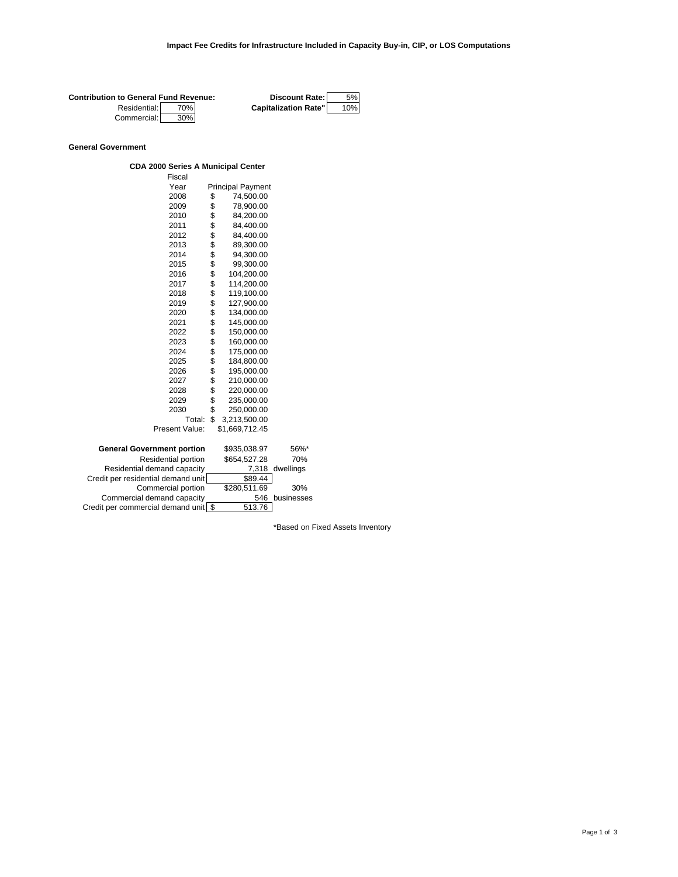| <b>Contribution to General Fund Revenue:</b> |     | <b>Discount Rate:</b>       | 5%  |
|----------------------------------------------|-----|-----------------------------|-----|
| Residential:                                 | 70% | <b>Capitalization Rate"</b> | 10% |
| Commercial:                                  | 30% |                             |     |

## **General Government**

| <b>CDA 2000 Series A Municipal Center</b> |  |
|-------------------------------------------|--|
| Fiscal                                    |  |

| Year<br><b>Principal Payment</b><br>2008<br>74,500.00<br>\$<br>\$<br>2009<br>78,900.00<br>\$<br>2010<br>84,200.00<br>\$\$\$\$\$\$\$\$\$\$\$\$\$\$\$\$\$\$\$<br>2011<br>84,400.00<br>84,400.00<br>2012<br>2013<br>89,300.00<br>2014<br>94,300.00<br>2015<br>99,300.00<br>104,200.00<br>2016<br>2017<br>114,200.00<br>2018<br>119,100.00<br>2019<br>127,900.00<br>134,000.00<br>2020<br>2021<br>145,000.00<br>150,000.00<br>2022<br>2023<br>160,000.00<br>175,000.00<br>2024<br>184,800.00<br>2025<br>2026<br>195,000.00<br>2027<br>210,000.00<br>2028<br>220,000.00<br>\$<br>2029<br>235,000.00<br>\$<br>2030<br>250,000.00<br>\$<br>Total:<br>3,213,500.00<br>Present Value:<br>\$1,669,712.45<br><b>General Government portion</b><br>\$935,038.97<br>56%*<br>Residential portion<br>\$654,527.28<br>70%<br>Residential demand capacity<br>7,318<br>dwellings<br>Credit per residential demand unit<br>\$89.44<br>\$280,511.69<br>Commercial portion<br>30%<br>Commercial demand capacity<br>businesses<br>546 | Fiscal                               |        |  |
|-----------------------------------------------------------------------------------------------------------------------------------------------------------------------------------------------------------------------------------------------------------------------------------------------------------------------------------------------------------------------------------------------------------------------------------------------------------------------------------------------------------------------------------------------------------------------------------------------------------------------------------------------------------------------------------------------------------------------------------------------------------------------------------------------------------------------------------------------------------------------------------------------------------------------------------------------------------------------------------------------------------------|--------------------------------------|--------|--|
|                                                                                                                                                                                                                                                                                                                                                                                                                                                                                                                                                                                                                                                                                                                                                                                                                                                                                                                                                                                                                 |                                      |        |  |
|                                                                                                                                                                                                                                                                                                                                                                                                                                                                                                                                                                                                                                                                                                                                                                                                                                                                                                                                                                                                                 |                                      |        |  |
|                                                                                                                                                                                                                                                                                                                                                                                                                                                                                                                                                                                                                                                                                                                                                                                                                                                                                                                                                                                                                 |                                      |        |  |
|                                                                                                                                                                                                                                                                                                                                                                                                                                                                                                                                                                                                                                                                                                                                                                                                                                                                                                                                                                                                                 |                                      |        |  |
|                                                                                                                                                                                                                                                                                                                                                                                                                                                                                                                                                                                                                                                                                                                                                                                                                                                                                                                                                                                                                 |                                      |        |  |
|                                                                                                                                                                                                                                                                                                                                                                                                                                                                                                                                                                                                                                                                                                                                                                                                                                                                                                                                                                                                                 |                                      |        |  |
|                                                                                                                                                                                                                                                                                                                                                                                                                                                                                                                                                                                                                                                                                                                                                                                                                                                                                                                                                                                                                 |                                      |        |  |
|                                                                                                                                                                                                                                                                                                                                                                                                                                                                                                                                                                                                                                                                                                                                                                                                                                                                                                                                                                                                                 |                                      |        |  |
|                                                                                                                                                                                                                                                                                                                                                                                                                                                                                                                                                                                                                                                                                                                                                                                                                                                                                                                                                                                                                 |                                      |        |  |
|                                                                                                                                                                                                                                                                                                                                                                                                                                                                                                                                                                                                                                                                                                                                                                                                                                                                                                                                                                                                                 |                                      |        |  |
|                                                                                                                                                                                                                                                                                                                                                                                                                                                                                                                                                                                                                                                                                                                                                                                                                                                                                                                                                                                                                 |                                      |        |  |
|                                                                                                                                                                                                                                                                                                                                                                                                                                                                                                                                                                                                                                                                                                                                                                                                                                                                                                                                                                                                                 |                                      |        |  |
|                                                                                                                                                                                                                                                                                                                                                                                                                                                                                                                                                                                                                                                                                                                                                                                                                                                                                                                                                                                                                 |                                      |        |  |
|                                                                                                                                                                                                                                                                                                                                                                                                                                                                                                                                                                                                                                                                                                                                                                                                                                                                                                                                                                                                                 |                                      |        |  |
|                                                                                                                                                                                                                                                                                                                                                                                                                                                                                                                                                                                                                                                                                                                                                                                                                                                                                                                                                                                                                 |                                      |        |  |
|                                                                                                                                                                                                                                                                                                                                                                                                                                                                                                                                                                                                                                                                                                                                                                                                                                                                                                                                                                                                                 |                                      |        |  |
|                                                                                                                                                                                                                                                                                                                                                                                                                                                                                                                                                                                                                                                                                                                                                                                                                                                                                                                                                                                                                 |                                      |        |  |
|                                                                                                                                                                                                                                                                                                                                                                                                                                                                                                                                                                                                                                                                                                                                                                                                                                                                                                                                                                                                                 |                                      |        |  |
|                                                                                                                                                                                                                                                                                                                                                                                                                                                                                                                                                                                                                                                                                                                                                                                                                                                                                                                                                                                                                 |                                      |        |  |
|                                                                                                                                                                                                                                                                                                                                                                                                                                                                                                                                                                                                                                                                                                                                                                                                                                                                                                                                                                                                                 |                                      |        |  |
|                                                                                                                                                                                                                                                                                                                                                                                                                                                                                                                                                                                                                                                                                                                                                                                                                                                                                                                                                                                                                 |                                      |        |  |
|                                                                                                                                                                                                                                                                                                                                                                                                                                                                                                                                                                                                                                                                                                                                                                                                                                                                                                                                                                                                                 |                                      |        |  |
|                                                                                                                                                                                                                                                                                                                                                                                                                                                                                                                                                                                                                                                                                                                                                                                                                                                                                                                                                                                                                 |                                      |        |  |
|                                                                                                                                                                                                                                                                                                                                                                                                                                                                                                                                                                                                                                                                                                                                                                                                                                                                                                                                                                                                                 |                                      |        |  |
|                                                                                                                                                                                                                                                                                                                                                                                                                                                                                                                                                                                                                                                                                                                                                                                                                                                                                                                                                                                                                 |                                      |        |  |
|                                                                                                                                                                                                                                                                                                                                                                                                                                                                                                                                                                                                                                                                                                                                                                                                                                                                                                                                                                                                                 |                                      |        |  |
|                                                                                                                                                                                                                                                                                                                                                                                                                                                                                                                                                                                                                                                                                                                                                                                                                                                                                                                                                                                                                 |                                      |        |  |
|                                                                                                                                                                                                                                                                                                                                                                                                                                                                                                                                                                                                                                                                                                                                                                                                                                                                                                                                                                                                                 |                                      |        |  |
|                                                                                                                                                                                                                                                                                                                                                                                                                                                                                                                                                                                                                                                                                                                                                                                                                                                                                                                                                                                                                 |                                      |        |  |
|                                                                                                                                                                                                                                                                                                                                                                                                                                                                                                                                                                                                                                                                                                                                                                                                                                                                                                                                                                                                                 |                                      |        |  |
|                                                                                                                                                                                                                                                                                                                                                                                                                                                                                                                                                                                                                                                                                                                                                                                                                                                                                                                                                                                                                 |                                      |        |  |
|                                                                                                                                                                                                                                                                                                                                                                                                                                                                                                                                                                                                                                                                                                                                                                                                                                                                                                                                                                                                                 |                                      |        |  |
|                                                                                                                                                                                                                                                                                                                                                                                                                                                                                                                                                                                                                                                                                                                                                                                                                                                                                                                                                                                                                 |                                      |        |  |
|                                                                                                                                                                                                                                                                                                                                                                                                                                                                                                                                                                                                                                                                                                                                                                                                                                                                                                                                                                                                                 | Credit per commercial demand unit \$ | 513.76 |  |

\*Based on Fixed Assets Inventory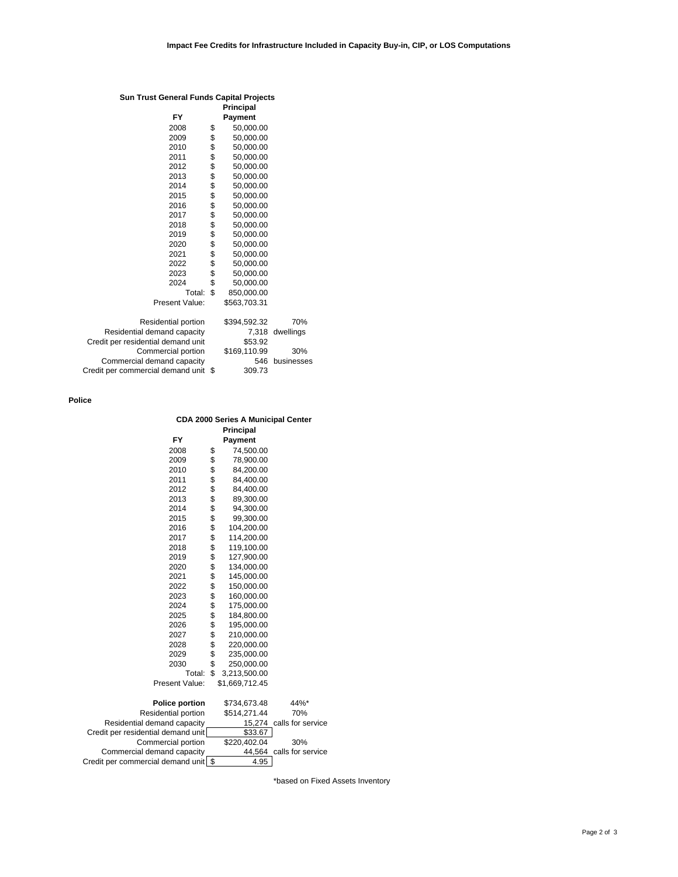### **Sun Trust General Funds Capital Projects**

|                                      | Principal        |            |
|--------------------------------------|------------------|------------|
| FY                                   | <b>Payment</b>   |            |
| 2008                                 | \$<br>50,000.00  |            |
| 2009                                 | \$<br>50,000.00  |            |
| 2010                                 | \$<br>50,000.00  |            |
| 2011                                 | \$<br>50,000.00  |            |
| 2012                                 | \$<br>50,000.00  |            |
| 2013                                 | \$<br>50,000.00  |            |
| 2014                                 | \$<br>50,000.00  |            |
| 2015                                 | \$<br>50,000.00  |            |
| 2016                                 | \$<br>50,000.00  |            |
| 2017                                 | \$<br>50,000.00  |            |
| 2018                                 | \$<br>50,000.00  |            |
| 2019                                 | \$<br>50,000.00  |            |
| 2020                                 | \$<br>50,000.00  |            |
| 2021                                 | \$<br>50,000.00  |            |
| 2022                                 | \$<br>50,000.00  |            |
| 2023                                 | \$<br>50,000.00  |            |
| 2024                                 | \$<br>50,000.00  |            |
| Total:                               | \$<br>850,000.00 |            |
| Present Value:                       | \$563,703.31     |            |
| Residential portion                  | \$394,592.32     | 70%        |
| Residential demand capacity          | 7,318            | dwellings  |
| Credit per residential demand unit   | \$53.92          |            |
| Commercial portion                   | \$169,110.99     | 30%        |
| Commercial demand capacity           | 546              | businesses |
| Credit per commercial demand unit \$ | 309.73           |            |
|                                      |                  |            |

**Police**

# **CDA 2000 Series A Municipal Center Principal**

| FY                                 |      | <b>Payment</b> |                          |
|------------------------------------|------|----------------|--------------------------|
| 2008                               | \$   | 74,500.00      |                          |
| 2009                               | \$   | 78,900.00      |                          |
| 2010                               | \$   | 84,200.00      |                          |
| 2011                               |      | 84,400.00      |                          |
| 2012                               | \$\$ | 84,400.00      |                          |
| 2013                               |      | 89,300.00      |                          |
| 2014                               | \$\$ | 94,300.00      |                          |
| 2015                               |      | 99,300.00      |                          |
| 2016                               |      | 104,200.00     |                          |
| 2017                               | \$   | 114,200.00     |                          |
| 2018                               | \$   | 119,100.00     |                          |
| 2019                               | \$   | 127,900.00     |                          |
| 2020                               | \$   | 134,000.00     |                          |
| 2021                               | \$   | 145,000.00     |                          |
| 2022                               | \$\$ | 150,000.00     |                          |
| 2023                               |      | 160,000.00     |                          |
| 2024                               |      | 175,000.00     |                          |
| 2025                               | \$   | 184,800.00     |                          |
| 2026                               | \$   | 195,000.00     |                          |
| 2027                               | \$   | 210,000.00     |                          |
| 2028                               | \$   | 220,000.00     |                          |
| 2029                               | \$   | 235,000.00     |                          |
| 2030                               | \$   | 250,000.00     |                          |
| Total:                             | \$   | 3,213,500.00   |                          |
| Present Value:                     |      | \$1,669,712.45 |                          |
|                                    |      |                |                          |
| <b>Police portion</b>              |      | \$734,673.48   | 44%*                     |
| Residential portion                |      | \$514,271.44   | 70%                      |
| Residential demand capacity        |      |                | 15,274 calls for service |
| Credit per residential demand unit |      | \$33.67        |                          |
| Commercial portion                 |      | \$220,402.04   | 30%                      |
| Commercial demand capacity         |      | 44,564         | calls for service        |

Credit per commercial demand unit | \$ 4.95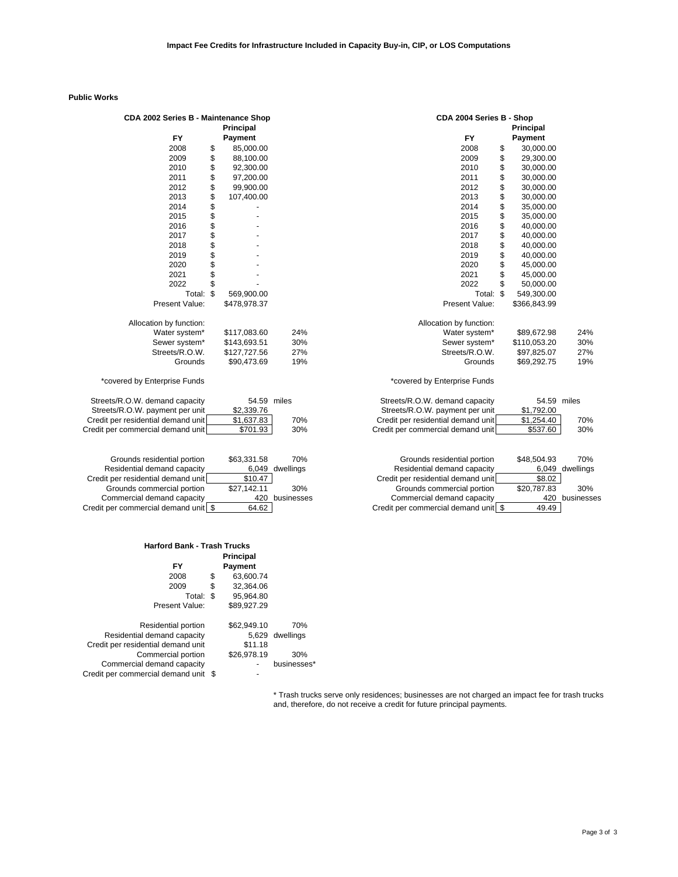## **Public Works**

| CDA 2002 Series B - Maintenance Shop |                  |     |                                    | CDA 2004 Series B - Shop        |    |              |       |  |  |
|--------------------------------------|------------------|-----|------------------------------------|---------------------------------|----|--------------|-------|--|--|
|                                      | <b>Principal</b> |     |                                    |                                 |    | Principal    |       |  |  |
| <b>FY</b>                            | Payment          |     |                                    | <b>FY</b>                       |    | Payment      |       |  |  |
| 2008                                 | \$<br>85,000.00  |     |                                    | 2008                            | \$ | 30,000.00    |       |  |  |
| 2009                                 | \$<br>88,100.00  |     |                                    | 2009                            | \$ | 29,300.00    |       |  |  |
| 2010                                 | \$<br>92,300.00  |     |                                    | 2010                            | \$ | 30,000.00    |       |  |  |
| 2011                                 | \$<br>97,200.00  |     |                                    | 2011                            | \$ | 30,000.00    |       |  |  |
| 2012                                 | \$<br>99,900.00  |     |                                    | 2012                            | \$ | 30,000.00    |       |  |  |
| 2013                                 | \$<br>107,400.00 |     |                                    | 2013                            | \$ | 30,000.00    |       |  |  |
| 2014                                 | \$               |     |                                    | 2014                            | \$ | 35,000.00    |       |  |  |
| 2015                                 | \$               |     |                                    | 2015                            | \$ | 35,000.00    |       |  |  |
| 2016                                 | \$               |     |                                    | 2016                            | \$ | 40,000.00    |       |  |  |
| 2017                                 | \$               |     |                                    | 2017                            | \$ | 40,000.00    |       |  |  |
| 2018                                 | \$               |     |                                    | 2018                            | \$ | 40,000.00    |       |  |  |
| 2019                                 | \$               |     |                                    | 2019                            | \$ | 40,000.00    |       |  |  |
| 2020                                 | \$               |     |                                    | 2020                            | \$ | 45,000.00    |       |  |  |
| 2021                                 | \$               |     |                                    | 2021                            | \$ | 45,000.00    |       |  |  |
| 2022                                 | \$               |     |                                    | 2022                            | \$ | 50,000.00    |       |  |  |
| Total:                               | \$<br>569,900.00 |     |                                    | Total: \$                       |    | 549,300.00   |       |  |  |
| Present Value:                       | \$478,978.37     |     |                                    | Present Value:                  |    | \$366,843.99 |       |  |  |
| Allocation by function:              |                  |     |                                    | Allocation by function:         |    |              |       |  |  |
| Water system*                        | \$117,083.60     | 24% |                                    | Water system*                   |    | \$89,672.98  | 24%   |  |  |
| Sewer system*                        | \$143,693.51     | 30% |                                    | Sewer system*                   |    | \$110,053.20 | 30%   |  |  |
| Streets/R.O.W.                       | \$127,727.56     | 27% |                                    | Streets/R.O.W.                  |    | \$97,825.07  | 27%   |  |  |
| Grounds                              | \$90,473.69      | 19% |                                    | Grounds                         |    | \$69,292.75  | 19%   |  |  |
| *covered by Enterprise Funds         |                  |     |                                    | *covered by Enterprise Funds    |    |              |       |  |  |
| Streets/R.O.W. demand capacity       | 54.59 miles      |     | Streets/R.O.W. demand capacity     |                                 |    | 54.59        | miles |  |  |
| Streets/R.O.W. payment per unit      | \$2,339.76       |     |                                    | Streets/R.O.W. payment per unit |    | \$1,792.00   |       |  |  |
| Credit per residential demand unit   | \$1,637.83       | 70% | Credit per residential demand unit |                                 |    | \$1,254.40   | 70%   |  |  |
| Credit per commercial demand unit    | \$701.93         | 30% | Credit per commercial demand unit  |                                 |    | \$537.60     | 30%   |  |  |
|                                      |                  |     |                                    |                                 |    |              |       |  |  |

| Grounds residential portion          | \$63.331.58 | 70%             | Grounds residential portion            | \$48,504.93 |
|--------------------------------------|-------------|-----------------|----------------------------------------|-------------|
| Residential demand capacity          |             | 6,049 dwellings | Residential demand capacity            | 6.049       |
| Credit per residential demand unit   | \$10.47     |                 | Credit per residential demand unit     | \$8.02      |
| Grounds commercial portion           | \$27.142.11 | 30%             | Grounds commercial portion             | \$20,787.83 |
| Commercial demand capacity           |             | 420 businesses  | Commercial demand capacity             | 420         |
| Credit per commercial demand unit \$ | 64.62       |                 | Credit per commercial demand unit   \$ | 49.49       |

#### **Harford Bank - Trash Trucks**

|                                    |    | <b>Principal</b> |                 |
|------------------------------------|----|------------------|-----------------|
| FY                                 |    | Payment          |                 |
| 2008                               | \$ | 63,600.74        |                 |
| 2009                               | \$ | 32,364.06        |                 |
| Total: \$                          |    | 95,964.80        |                 |
| Present Value:                     |    | \$89,927.29      |                 |
| Residential portion                |    | \$62,949.10      | 70%             |
| Residential demand capacity        |    |                  | 5,629 dwellings |
| Credit per residential demand unit |    | \$11.18          |                 |
| Commercial portion                 |    | \$26,978.19      | 30%             |
| Commercial demand capacity         |    |                  | businesses*     |
| Credit per commercial demand unit  | S  |                  |                 |

| 02 Series B - Maintenance Shop |                |                  |     |                                    | CDA 2004 Series B - Shop     |                  |              |     |  |  |  |  |
|--------------------------------|----------------|------------------|-----|------------------------------------|------------------------------|------------------|--------------|-----|--|--|--|--|
|                                |                | <b>Principal</b> |     | <b>FY</b>                          |                              | <b>Principal</b> |              |     |  |  |  |  |
| <b>FY</b>                      |                | Payment          |     |                                    |                              |                  | Payment      |     |  |  |  |  |
| 2008                           | \$             | 85,000.00        |     |                                    | 2008                         | \$               | 30,000.00    |     |  |  |  |  |
| 2009                           | \$             | 88,100.00        |     |                                    | 2009                         | \$               | 29,300.00    |     |  |  |  |  |
| 2010                           | \$             | 92,300.00        |     |                                    | 2010                         | \$               | 30,000.00    |     |  |  |  |  |
| 2011                           | \$             | 97,200.00        |     |                                    | 2011                         | \$               | 30,000.00    |     |  |  |  |  |
| 2012                           | \$             | 99,900.00        |     |                                    | 2012                         | \$               | 30,000.00    |     |  |  |  |  |
| 2013                           | \$\$           | 107,400.00       |     |                                    | 2013                         | \$               | 30,000.00    |     |  |  |  |  |
| 2014                           |                |                  |     |                                    | 2014                         | \$               | 35,000.00    |     |  |  |  |  |
| 2015                           |                |                  |     |                                    | 2015                         | \$               | 35,000.00    |     |  |  |  |  |
| 2016                           | \$             |                  |     |                                    | 2016                         | \$               | 40,000.00    |     |  |  |  |  |
| 2017                           |                |                  |     |                                    | 2017                         | \$               | 40,000.00    |     |  |  |  |  |
| 2018                           | \$             |                  |     |                                    | 2018                         | \$               | 40.000.00    |     |  |  |  |  |
| 2019                           |                |                  |     |                                    | 2019                         | \$               | 40,000.00    |     |  |  |  |  |
| 2020                           | \$             |                  |     |                                    | 2020                         | \$               | 45,000.00    |     |  |  |  |  |
| 2021                           | \$             |                  |     |                                    | 2021                         | \$               | 45,000.00    |     |  |  |  |  |
| 2022                           | \$             |                  |     |                                    | 2022                         | \$               | 50,000.00    |     |  |  |  |  |
| Total:                         | $\mathfrak{L}$ | 569,900.00       |     |                                    | Total:                       | $\mathfrak{L}$   | 549,300.00   |     |  |  |  |  |
| Present Value:                 |                | \$478,978.37     |     |                                    | Present Value:               |                  | \$366,843.99 |     |  |  |  |  |
| ion by function:               |                |                  |     |                                    | Allocation by function:      |                  |              |     |  |  |  |  |
| Water system*                  |                | \$117,083.60     | 24% |                                    | Water system*                |                  | \$89,672.98  | 24% |  |  |  |  |
| Sewer system*                  |                | \$143,693.51     | 30% |                                    | Sewer system*                |                  | \$110,053.20 | 30% |  |  |  |  |
| Streets/R.O.W.                 |                | \$127,727.56     | 27% |                                    | Streets/R.O.W.               |                  | \$97,825.07  | 27% |  |  |  |  |
| Grounds                        |                | \$90,473.69      | 19% |                                    | Grounds                      |                  | \$69,292.75  | 19% |  |  |  |  |
| nterprise Funds                |                |                  |     |                                    | *covered by Enterprise Funds |                  |              |     |  |  |  |  |
| emand capacity                 |                | 54.59 miles      |     | Streets/R.O.W. demand capacity     |                              |                  | 54.59 miles  |     |  |  |  |  |
| ayment per unit                |                | \$2,339.76       |     | Streets/R.O.W. payment per unit    |                              |                  | \$1,792.00   |     |  |  |  |  |
| ial demand unit                |                | \$1,637.83       | 70% | Credit per residential demand unit |                              |                  | \$1,254.40   | 70% |  |  |  |  |
| ial demand unit                |                | \$701.93         | 30% | Credit per commercial demand unit  |                              |                  | \$537.60     | 30% |  |  |  |  |
|                                |                |                  |     |                                    |                              |                  |              |     |  |  |  |  |
|                                |                |                  |     |                                    |                              |                  |              |     |  |  |  |  |

| Grounds residential portion     | \$63.331.58 | 70%             | Grounds residential portion         | \$48,504.93 | 70%             |
|---------------------------------|-------------|-----------------|-------------------------------------|-------------|-----------------|
| Residential demand capacity     |             | 6,049 dwellings | Residential demand capacity         |             | 6,049 dwellings |
| dit per residential demand unit | \$10.47     |                 | Credit per residential demand unit  | \$8.02      |                 |
| Grounds commercial portion      | \$27.142.11 | 30%             | Grounds commercial portion          | \$20.787.83 | 30%             |
| Commercial demand capacity      |             | 420 businesses  | Commercial demand capacity          |             | 420 businesses  |
| t per commercial demand unit SS | 64.62 l     |                 | Credit per commercial demand unit S | 49.49       |                 |

\* Trash trucks serve only residences; businesses are not charged an impact fee for trash trucks and, therefore, do not receive a credit for future principal payments.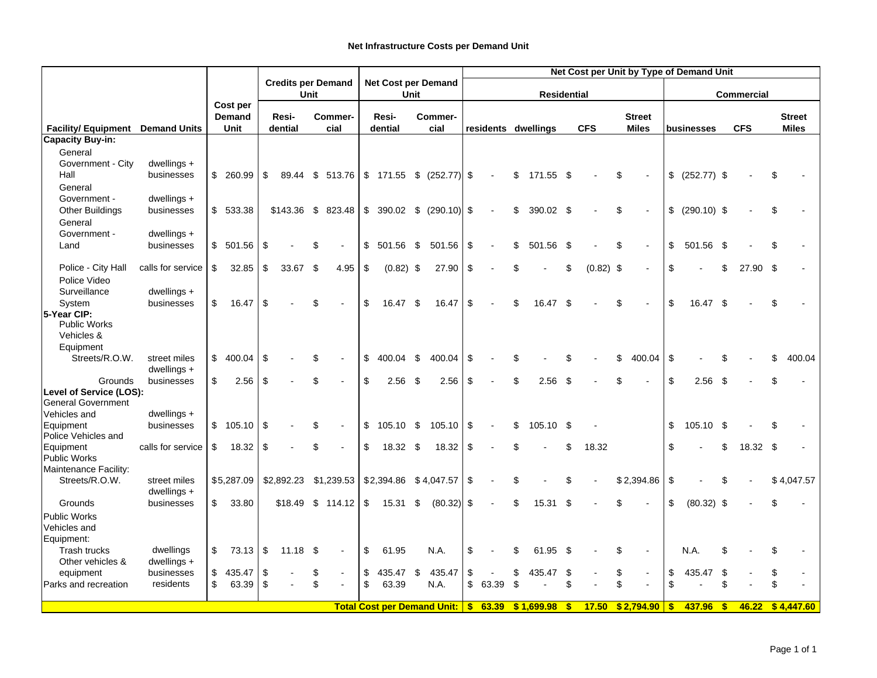|                                                                   |                   |               |    |                                   |    |                                    |    |             | Net Cost per Unit by Type of Demand Unit |                                   |    |       |    |                     |              |             |                   |                |            |               |     |            |    |               |
|-------------------------------------------------------------------|-------------------|---------------|----|-----------------------------------|----|------------------------------------|----|-------------|------------------------------------------|-----------------------------------|----|-------|----|---------------------|--------------|-------------|-------------------|----------------|------------|---------------|-----|------------|----|---------------|
|                                                                   |                   |               |    | <b>Credits per Demand</b><br>Unit |    | <b>Net Cost per Demand</b><br>Unit |    |             | <b>Residential</b>                       |                                   |    |       |    |                     |              |             | <b>Commercial</b> |                |            |               |     |            |    |               |
|                                                                   |                   | Cost per      |    |                                   |    |                                    |    |             |                                          |                                   |    |       |    |                     |              |             |                   |                |            |               |     |            |    |               |
|                                                                   |                   | <b>Demand</b> |    | Resi-                             |    | Commer-                            |    | Resi-       |                                          | Commer-                           |    |       |    |                     |              |             |                   | <b>Street</b>  |            |               |     |            |    | <b>Street</b> |
| <b>Facility/Equipment</b> Demand Units<br><b>Capacity Buy-in:</b> |                   | Unit          |    | dential                           |    | cial                               |    | dential     |                                          | cial                              |    |       |    | residents dwellings |              | <b>CFS</b>  |                   | <b>Miles</b>   |            | businesses    |     | <b>CFS</b> |    | <b>Miles</b>  |
| General                                                           |                   |               |    |                                   |    |                                    |    |             |                                          |                                   |    |       |    |                     |              |             |                   |                |            |               |     |            |    |               |
| Government - City                                                 | dwellings +       |               |    |                                   |    |                                    |    |             |                                          |                                   |    |       |    |                     |              |             |                   |                |            |               |     |            |    |               |
| Hall                                                              | businesses        | \$ 260.99     | \$ | 89.44                             | \$ | 513.76                             |    |             |                                          | $$171.55 \quad $(252.77)$ \       |    |       | \$ | 171.55              | - \$         |             | \$                |                | \$         | $(252.77)$ \$ |     |            |    |               |
| General                                                           |                   |               |    |                                   |    |                                    |    |             |                                          |                                   |    |       |    |                     |              |             |                   |                |            |               |     |            |    |               |
| Government -                                                      | dwellings +       |               |    |                                   |    |                                    |    |             |                                          |                                   |    |       |    |                     |              |             |                   |                |            |               |     |            |    |               |
| <b>Other Buildings</b>                                            | businesses        | \$533.38      |    |                                   |    | \$143.36 \$ 823.48                 |    |             |                                          | $$390.02 \quad $(290.10) \quad $$ |    |       | \$ | 390.02              | - \$         |             | \$                |                | \$         | $(290.10)$ \$ |     |            |    |               |
| General                                                           |                   |               |    |                                   |    |                                    |    |             |                                          |                                   |    |       |    |                     |              |             |                   |                |            |               |     |            |    |               |
| Government -                                                      | $dwellings +$     |               |    |                                   |    |                                    |    |             |                                          |                                   |    |       |    |                     |              |             |                   |                |            |               |     |            |    |               |
| Land                                                              | businesses        | \$501.56      | \$ |                                   | \$ |                                    | \$ | 501.56      | \$                                       | 501.56                            | \$ |       | \$ | 501.56              | -\$          |             | \$                | $\overline{a}$ | \$         | 501.56        | -\$ |            |    |               |
|                                                                   |                   |               |    |                                   |    |                                    |    |             |                                          |                                   |    |       |    |                     |              |             |                   |                |            |               |     |            |    |               |
| Police - City Hall                                                | calls for service | \$<br>32.85   | \$ | 33.67                             | \$ | 4.95                               | \$ | $(0.82)$ \$ |                                          | 27.90                             | \$ |       |    |                     | \$           | $(0.82)$ \$ |                   |                | \$         |               | \$  | 27.90      | \$ |               |
| Police Video                                                      |                   |               |    |                                   |    |                                    |    |             |                                          |                                   |    |       |    |                     |              |             |                   |                |            |               |     |            |    |               |
| Surveillance                                                      | dwellings +       |               |    |                                   |    |                                    |    |             |                                          |                                   |    |       |    |                     |              |             |                   |                |            |               |     |            |    |               |
| System<br>5-Year CIP:                                             | businesses        | \$<br>16.47   | \$ |                                   | \$ |                                    | \$ | 16.47       | \$                                       | 16.47                             | \$ |       |    | 16.47               | -\$          |             | \$                |                | \$         | 16.47         | -\$ |            |    |               |
| <b>Public Works</b>                                               |                   |               |    |                                   |    |                                    |    |             |                                          |                                   |    |       |    |                     |              |             |                   |                |            |               |     |            |    |               |
| Vehicles &                                                        |                   |               |    |                                   |    |                                    |    |             |                                          |                                   |    |       |    |                     |              |             |                   |                |            |               |     |            |    |               |
| Equipment                                                         |                   |               |    |                                   |    |                                    |    |             |                                          |                                   |    |       |    |                     |              |             |                   |                |            |               |     |            |    |               |
| Streets/R.O.W.                                                    | street miles      | \$<br>400.04  | \$ |                                   | \$ |                                    | \$ | 400.04      | \$                                       | 400.04                            | \$ |       |    |                     |              |             | \$                | 400.04         | \$         |               |     |            |    | 400.04        |
|                                                                   | dwellings +       |               |    |                                   |    |                                    |    |             |                                          |                                   |    |       |    |                     |              |             |                   |                |            |               |     |            |    |               |
| Grounds                                                           | businesses        | \$<br>2.56    | \$ |                                   | \$ |                                    | \$ | 2.56        | -\$                                      | 2.56                              | \$ |       |    | 2.56                | \$.          |             | \$                |                | \$         | 2.56          | -\$ |            |    |               |
| Level of Service (LOS):                                           |                   |               |    |                                   |    |                                    |    |             |                                          |                                   |    |       |    |                     |              |             |                   |                |            |               |     |            |    |               |
| <b>General Government</b><br>Vehicles and                         | dwellings +       |               |    |                                   |    |                                    |    |             |                                          |                                   |    |       |    |                     |              |             |                   |                |            |               |     |            |    |               |
| Equipment                                                         | businesses        | \$105.10      | \$ |                                   | \$ |                                    | \$ | 105.10      | \$                                       | 105.10                            | \$ |       | \$ | 105.10              | - \$         |             |                   |                | \$         | 105.10        | -\$ |            |    |               |
| Police Vehicles and                                               |                   |               |    |                                   |    |                                    |    |             |                                          |                                   |    |       |    |                     |              |             |                   |                |            |               |     |            |    |               |
| Equipment                                                         | calls for service | \$<br>18.32   | \$ |                                   | \$ |                                    | \$ | 18.32 \$    |                                          | 18.32                             | \$ |       |    |                     | \$           | 18.32       |                   |                | \$         |               | \$  | 18.32 \$   |    |               |
| <b>Public Works</b>                                               |                   |               |    |                                   |    |                                    |    |             |                                          |                                   |    |       |    |                     |              |             |                   |                |            |               |     |            |    |               |
| Maintenance Facility:                                             |                   |               |    |                                   |    |                                    |    |             |                                          |                                   |    |       |    |                     |              |             |                   |                |            |               |     |            |    |               |
| Streets/R.O.W.                                                    | street miles      | \$5,287.09    |    | \$2,892.23                        |    | \$1,239.53                         |    | \$2,394.86  |                                          | \$4,047.57                        | \$ |       |    |                     |              |             |                   | \$2,394.86     | \$         |               |     |            |    | \$4,047.57    |
|                                                                   | $dwellings +$     |               |    |                                   |    |                                    |    |             |                                          |                                   |    |       |    |                     |              |             |                   |                |            |               |     |            |    |               |
| Grounds                                                           | businesses        | \$<br>33.80   |    | \$18.49                           | \$ | 114.12                             | \$ | 15.31       | \$                                       | (80.32)                           | \$ |       | \$ | 15.31               | - \$         |             |                   |                | \$         | $(80.32)$ \$  |     |            |    |               |
| <b>Public Works</b>                                               |                   |               |    |                                   |    |                                    |    |             |                                          |                                   |    |       |    |                     |              |             |                   |                |            |               |     |            |    |               |
| Vehicles and<br>Equipment:                                        |                   |               |    |                                   |    |                                    |    |             |                                          |                                   |    |       |    |                     |              |             |                   |                |            |               |     |            |    |               |
| <b>Trash trucks</b>                                               | dwellings         | \$<br>73.13   | \$ | $11.18$ \$                        |    |                                    | \$ | 61.95       |                                          | N.A.                              | \$ |       |    | 61.95               | - \$         |             |                   |                |            | N.A.          | \$  |            |    |               |
| Other vehicles &                                                  | $dwellings +$     |               |    |                                   |    |                                    |    |             |                                          |                                   |    |       |    |                     |              |             |                   |                |            |               |     |            |    |               |
| equipment                                                         | businesses        | \$<br>435.47  | \$ |                                   | \$ |                                    | \$ | 435.47      | \$                                       | 435.47                            | \$ |       | \$ | 435.47              | \$           |             | \$                | $\blacksquare$ | \$         | 435.47        | \$  |            |    |               |
| <b>Parks and recreation</b>                                       | residents         | \$<br>63.39   | \$ |                                   | \$ |                                    | \$ | 63.39       |                                          | N.A.                              | \$ | 63.39 | \$ |                     | \$           |             | \$                |                | \$         |               | \$  |            |    |               |
|                                                                   |                   |               |    |                                   |    |                                    |    |             |                                          |                                   |    |       |    |                     |              |             |                   |                |            |               |     |            |    |               |
|                                                                   |                   |               |    |                                   |    |                                    |    |             |                                          | Total Cost per Demand Unit: \$    |    | 63.39 |    | \$1,699.98          | $\mathbf{s}$ | 17.50       |                   | \$2,794.90     | $\sqrt{3}$ | 437.96        | -\$ | 46.22      |    | \$4,447.60    |